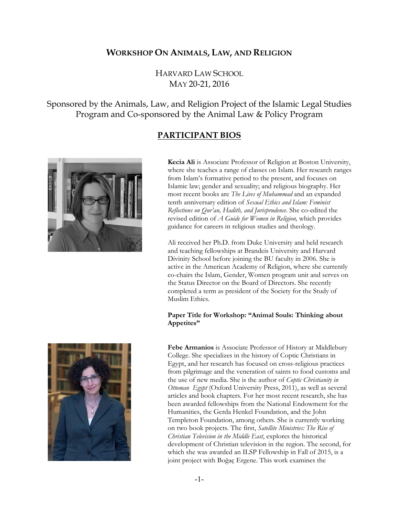# **WORKSHOP ON ANIMALS, LAW, AND RELIGION**

HARVARD LAW SCHOOL MAY 20-21, 2016

Sponsored by the Animals, Law, and Religion Project of the Islamic Legal Studies Program and Co-sponsored by the Animal Law & Policy Program

# **PARTICIPANT BIOS**



**Kecia Ali** is Associate Professor of Religion at Boston University. where she teaches a range of classes on Islam. Her research ranges from Islam's formative period to the present, and focuses on Islamic law; gender and sexuality; and religious biography. Her most recent books are *The Lives of Muhammad* and an expanded tenth anniversary edition of *Sexual Ethics and Islam: Feminist Reflections on Qur'an, Hadith, and Jurisprudence*. She co-edited the revised edition of *A Guide for Women in Religion,* which provides guidance for careers in religious studies and theology.

Ali received her Ph.D. from Duke University and held research and teaching fellowships at Brandeis University and Harvard Divinity School before joining the BU faculty in 2006. She is active in the American Academy of Religion, where she currently co-chairs the Islam, Gender, Women program unit and serves on the Status Director on the Board of Directors. She recently completed a term as president of the Society for the Study of Muslim Ethics.

# **Paper Title for Workshop: "Animal Souls: Thinking about Appetites"**



**Febe Armanios** is Associate Professor of History at Middlebury College. She specializes in the history of Coptic Christians in Egypt, and her research has focused on cross-religious practices from pilgrimage and the veneration of saints to food customs and the use of new media. She is the author of *Coptic Christianity in Ottoman Egypt* (Oxford University Press, 2011), as well as several articles and book chapters. For her most recent research, she has been awarded fellowships from the National Endowment for the Humanities, the Gerda Henkel Foundation, and the John Templeton Foundation, among others. She is currently working on two book projects. The first, *Satellite Ministries: The Rise of Christian Television in the Middle East*, explores the historical development of Christian television in the region. The second, for which she was awarded an ILSP Fellowship in Fall of 2015, is a joint project with Boğaç Ergene. This work examines the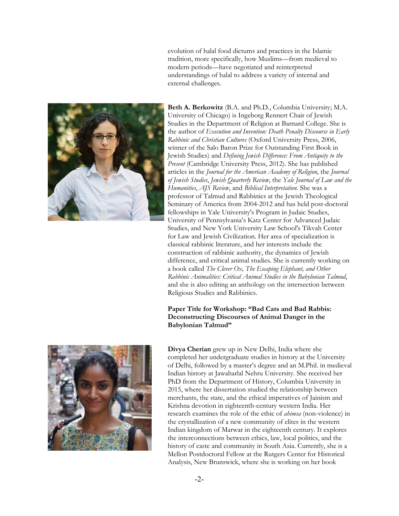evolution of halal food dictums and practices in the Islamic tradition, more specifically, how Muslims—from medieval to modern periods—have negotiated and reinterpreted understandings of halal to address a variety of internal and external challenges.



**Beth A. Berkowitz** (B.A. and Ph.D., Columbia University; M.A. University of Chicago) is Ingeborg Rennert Chair of Jewish Studies in the Department of Religion at Barnard College. She is the author of *Execution and Invention: Death Penalty Discourse in Early Rabbinic and Christian Cultures* (Oxford University Press, 2006, winner of the Salo Baron Prize for Outstanding First Book in Jewish Studies) and *Defining Jewish Difference: From Antiquity to the Present* (Cambridge University Press, 2012). She has published articles in the *Journal for the American Academy of Religion*, the *Journal of Jewish Studies*, *Jewish Quarterly Review*, the *Yale Journal of Law and the Humanities*, *AJS Review*, and *Biblical Interpretation*. She was a professor of Talmud and Rabbinics at the Jewish Theological Seminary of America from 2004-2012 and has held post-doctoral fellowships in Yale University's Program in Judaic Studies, University of Pennsylvania's Katz Center for Advanced Judaic Studies, and New York University Law School's Tikvah Center for Law and Jewish Civilization. Her area of specialization is classical rabbinic literature, and her interests include the construction of rabbinic authority, the dynamics of Jewish difference, and critical animal studies. She is currently working on a book called *The Clever Ox, The Escaping Elephant, and Other Rabbinic Animalities: Critical Animal Studies in the Babylonian Talmud*, and she is also editing an anthology on the intersection between Religious Studies and Rabbinics.

### **Paper Title for Workshop: "Bad Cats and Bad Rabbis: Deconstructing Discourses of Animal Danger in the Babylonian Talmud"**



**Divya Cherian** grew up in New Delhi, India where she completed her undergraduate studies in history at the University of Delhi, followed by a master's degree and an M.Phil. in medieval Indian history at Jawaharlal Nehru University. She received her PhD from the Department of History, Columbia University in 2015, where her dissertation studied the relationship between merchants, the state, and the ethical imperatives of Jainism and Krishna devotion in eighteenth-century western India. Her research examines the role of the ethic of *ahimsa* (non-violence) in the crystallization of a new community of elites in the western Indian kingdom of Marwar in the eighteenth century. It explores the interconnections between ethics, law, local politics, and the history of caste and community in South Asia. Currently, she is a Mellon Postdoctoral Fellow at the Rutgers Center for Historical Analysis, New Brunswick, where she is working on her book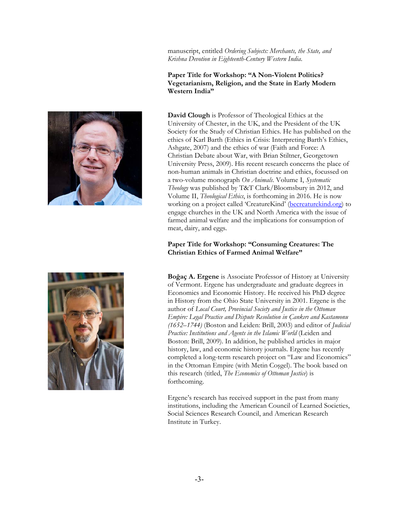manuscript, entitled *Ordering Subjects: Merchants, the State, and Krishna Devotion in Eighteenth-Century Western India*.

**Paper Title for Workshop: "A Non-Violent Politics? Vegetarianism, Religion, and the State in Early Modern Western India"** 



**David Clough** is Professor of Theological Ethics at the University of Chester, in the UK, and the President of the UK Society for the Study of Christian Ethics. He has published on the ethics of Karl Barth (Ethics in Crisis: Interpreting Barth's Ethics, Ashgate, 2007) and the ethics of war (Faith and Force: A Christian Debate about War, with Brian Stiltner, Georgetown University Press, 2009). His recent research concerns the place of non-human animals in Christian doctrine and ethics, focussed on a two-volume monograph *On Animals*. Volume I, *Systematic Theology* was published by T&T Clark/Bloomsbury in 2012, and Volume II, *Theological Ethics*, is forthcoming in 2016. He is now working on a project called 'CreatureKind' (becreaturekind.org) to engage churches in the UK and North America with the issue of farmed animal welfare and the implications for consumption of meat, dairy, and eggs.

## **Paper Title for Workshop: "Consuming Creatures: The Christian Ethics of Farmed Animal Welfare"**



**Boğaç A. Ergene** is Associate Professor of History at University of Vermont. Ergene has undergraduate and graduate degrees in Economics and Economic History. He received his PhD degree in History from the Ohio State University in 2001. Ergene is the author of *Local Court, Provincial Society and Justice in the Ottoman Empire: Legal Practice and Dispute Resolution in Çankırı and Kastamonu (1652–1744)* (Boston and Leiden: Brill, 2003) and editor of *Judicial Practice: Institutions and Agents in the Islamic World* (Leiden and Boston: Brill, 2009). In addition, he published articles in major history, law, and economic history journals. Ergene has recently completed a long-term research project on "Law and Economics" in the Ottoman Empire (with Metin Coşgel). The book based on this research (titled, *The Economics of Ottoman Justice*) is forthcoming.

Ergene's research has received support in the past from many institutions, including the American Council of Learned Societies, Social Sciences Research Council, and American Research Institute in Turkey.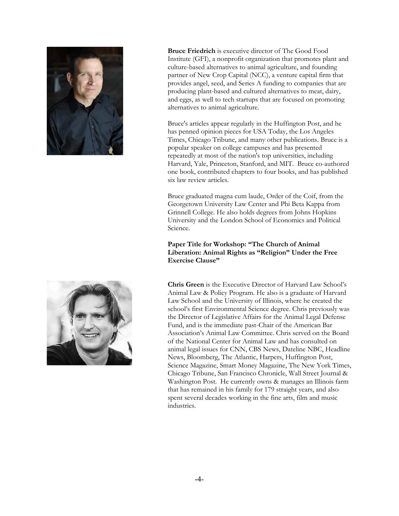

**Bruce Friedrich** is executive director of The Good Food Institute (GFI), a nonprofit organization that promotes plant and culture-based alternatives to animal agriculture, and founding partner of New Crop Capital (NCC), a venture capital firm that provides angel, seed, and Series A funding to companies that are producing plant-based and cultured alternatives to meat, dairy, and eggs, as well to tech startups that are focused on promoting alternatives to animal agriculture.

Bruce's articles appear regularly in the Huffington Post, and he has penned opinion pieces for USA Today, the Los Angeles Times, Chicago Tribune, and many other publications. Bruce is a popular speaker on college campuses and has presented repeatedly at most of the nation's top universities, including Harvard, Yale, Princeton, Stanford, and MIT. Bruce co-authored one book, contributed chapters to four books, and has published six law review articles.

Bruce graduated magna cum laude, Order of the Coif, from the Georgetown University Law Center and Phi Beta Kappa from Grinnell College. He also holds degrees from Johns Hopkins University and the London School of Economics and Political Science.

# **Paper Title for Workshop: "The Church of Animal Liberation: Animal Rights as "Religion" Under the Free Exercise Clause"**

**Chris Green** is the Executive Director of Harvard Law School's Animal Law & Policy Program. He also is a graduate of Harvard Law School and the University of Illinois, where he created the school's first Environmental Science degree. Chris previously was the Director of Legislative Affairs for the Animal Legal Defense Fund, and is the immediate past-Chair of the American Bar Association's Animal Law Committee. Chris served on the Board of the National Center for Animal Law and has consulted on animal legal issues for CNN, CBS News, Dateline NBC, Headline News, Bloomberg, The Atlantic, Harpers, Huffington Post, Science Magazine, Smart Money Magazine, The New York Times, Chicago Tribune, San Francisco Chronicle, Wall Street Journal & Washington Post. He currently owns & manages an Illinois farm that has remained in his family for 179 straight years, and also spent several decades working in the fine arts, film and music industries.

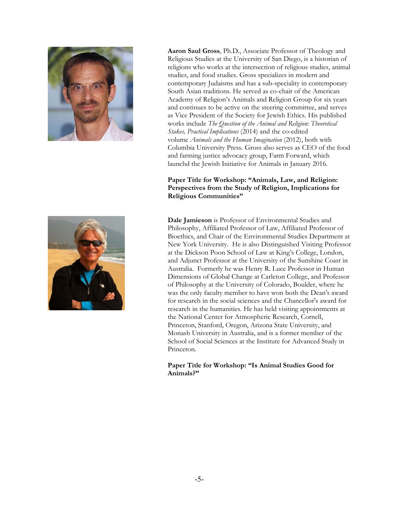

**Aaron Saul Gross**, Ph.D., Associate Professor of Theology and Religious Studies at the University of San Diego, is a historian of religions who works at the intersection of religious studies, animal studies, and food studies. Gross specializes in modern and contemporary Judaisms and has a sub-speciality in contemporary South Asian traditions. He served as co-chair of the American Academy of Religion's Animals and Religion Group for six years and continues to be active on the steering committee, and serves as Vice President of the Society for Jewish Ethics. His published works include *The Question of the Animal and Religion: Theoretical Stakes, Practical Implications* (2014) and the co-edited volume *Animals and the Human Imagination* (2012), both with Columbia University Press. Gross also serves as CEO of the food and farming justice advocacy group, Farm Forward, which launchd the Jewish Initiative for Animals in January 2016.

#### **Paper Title for Workshop: "Animals, Law, and Religion: Perspectives from the Study of Religion, Implications for Religious Communities"**

**Dale Jamieson** is Professor of Environmental Studies and Philosophy, Affiliated Professor of Law, Affiliated Professor of Bioethics, and Chair of the Environmental Studies Department at New York University. He is also Distinguished Visiting Professor at the Dickson Poon School of Law at King's College, London, and Adjunct Professor at the University of the Sunshine Coast in Australia. Formerly he was Henry R. Luce Professor in Human Dimensions of Global Change at Carleton College, and Professor of Philosophy at the University of Colorado, Boulder, where he was the only faculty member to have won both the Dean's award for research in the social sciences and the Chancellor's award for research in the humanities. He has held visiting appointments at the National Center for Atmospheric Research, Cornell, Princeton, Stanford, Oregon, Arizona State University, and Monash University in Australia, and is a former member of the School of Social Sciences at the Institute for Advanced Study in Princeton.

**Paper Title for Workshop: "Is Animal Studies Good for Animals?"**

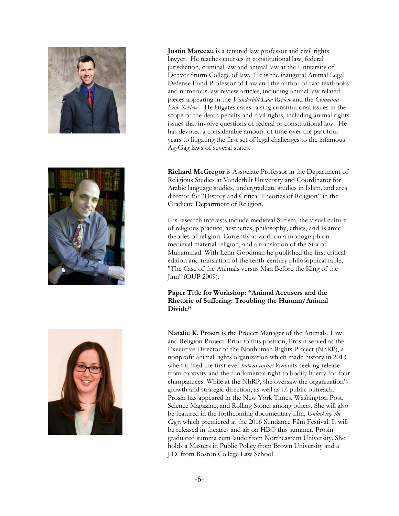



**Justin Marceau** is a tenured law professor and civil rights lawyer. He teaches courses in constitutional law, federal jurisdiction, criminal law and animal law at the University of Denver Sturm College of law. He is the inaugural Animal Legal Defense Fund Professor of Law and the author of two textbooks and numerous law review articles, including animal law related pieces appearing in the *Vanderbilt Law Review* and the *Columbia Law Review*. He litigates cases raising constitutional issues in the scope of the death penalty and civil rights, including animal rights issues that involve questions of federal or constitutional law. He has devoted a considerable amount of time over the past four years to litigating the first set of legal challenges to the infamous Ag-Gag laws of several states.

**Richard McGregor** is Associate Professor in the Department of Religious Studies at Vanderbilt University and Coordinator for Arabic language studies, undergraduate studies in Islam, and area director for "History and Critical Theories of Religion" in the Graduate Department of Religion.

His research interests include medieval Sufism, the visual culture of religious practice, aesthetics, philosophy, ethics, and Islamic theories of religion. Currently at work on a monograph on medieval material religion, and a translation of the Sira of Muhammad. With Lenn Goodman he published the first critical edition and translation of the tenth-century philosophical fable, "The Case of the Animals versus Man Before the King of the Jinn" (OUP 2009).

**Paper Title for Workshop: "Animal Accusers and the Rhetoric of Suffering: Troubling the Human/Animal Divide"** 



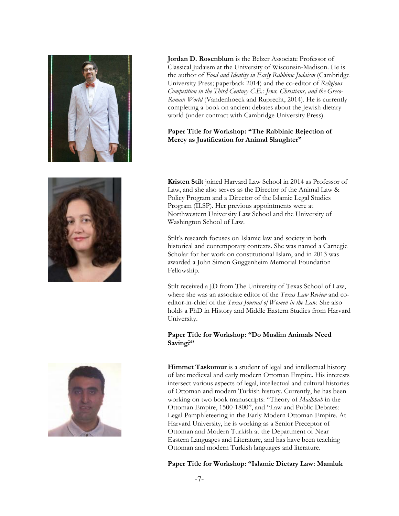

**Jordan D. Rosenblum** is the Belzer Associate Professor of Classical Judaism at the University of Wisconsin-Madison. He is the author of *Food and Identity in Early Rabbinic Judaism* (Cambridge University Press; paperback 2014) and the co-editor of *Religious Competition in the Third Century C.E.: Jews, Christians, and the Greco-Roman World* (Vandenhoeck and Ruprecht, 2014). He is currently completing a book on ancient debates about the Jewish dietary world (under contract with Cambridge University Press).

# **Paper Title for Workshop: "The Rabbinic Rejection of Mercy as Justification for Animal Slaughter"**



**Kristen Stilt** joined Harvard Law School in 2014 as Professor of Law, and she also serves as the Director of the Animal Law & Policy Program and a Director of the Islamic Legal Studies Program (ILSP). Her previous appointments were at Northwestern University Law School and the University of Washington School of Law.

Stilt's research focuses on Islamic law and society in both historical and contemporary contexts. She was named a Carnegie Scholar for her work on constitutional Islam, and in 2013 was awarded a John Simon Guggenheim Memorial Foundation Fellowship.

Stilt received a JD from The University of Texas School of Law, where she was an associate editor of the *Texas Law Review* and coeditor-in-chief of the *Texas Journal of Women in the Law.* She also holds a PhD in History and Middle Eastern Studies from Harvard University.

**Paper Title for Workshop: "Do Muslim Animals Need Saving?"** 



**Himmet Taskomur** is a student of legal and intellectual history of late medieval and early modern Ottoman Empire. His interests intersect various aspects of legal, intellectual and cultural histories of Ottoman and modern Turkish history. Currently, he has been working on two book manuscripts: "Theory of *Madhhab* in the Ottoman Empire, 1500-1800", and "Law and Public Debates: Legal Pamphleteering in the Early Modern Ottoman Empire. At Harvard University, he is working as a Senior Preceptor of Ottoman and Modern Turkish at the Department of Near Eastern Languages and Literature, and has have been teaching Ottoman and modern Turkish languages and literature.

**Paper Title for Workshop: "Islamic Dietary Law: Mamluk**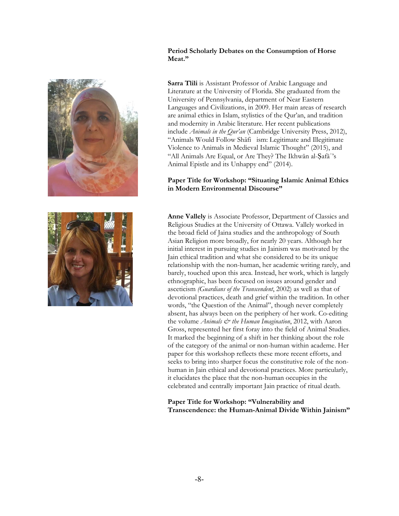



#### **Period Scholarly Debates on the Consumption of Horse Meat."**

**Sarra Tlili** is Assistant Professor of Arabic Language and Literature at the University of Florida. She graduated from the University of Pennsylvania, department of Near Eastern Languages and Civilizations, in 2009. Her main areas of research are animal ethics in Islam, stylistics of the Qur'an, and tradition and modernity in Arabic literature. Her recent publications include *Animals in the Qur'an* (Cambridge University Press, 2012), "Animals Would Follow Shāfi ism: Legitimate and Illegitimate Violence to Animals in Medieval Islamic Thought" (2015), and "All Animals Are Equal, or Are They? The Ikhwān al-Ṣafāʾ's Animal Epistle and its Unhappy end" (2014).

### **Paper Title for Workshop: "Situating Islamic Animal Ethics in Modern Environmental Discourse"**

**Anne Vallely** is Associate Professor, Department of Classics and Religious Studies at the University of Ottawa. Vallely worked in the broad field of Jaina studies and the anthropology of South Asian Religion more broadly, for nearly 20 years. Although her initial interest in pursuing studies in Jainism was motivated by the Jain ethical tradition and what she considered to be its unique relationship with the non-human, her academic writing rarely, and barely, touched upon this area. Instead, her work, which is largely ethnographic, has been focused on issues around gender and asceticism *(Guardians of the Transcendent*, 2002) as well as that of devotional practices, death and grief within the tradition. In other words, "the Question of the Animal", though never completely absent, has always been on the periphery of her work. Co-editing the volume *Animals & the Human Imagination*, 2012, with Aaron Gross, represented her first foray into the field of Animal Studies. It marked the beginning of a shift in her thinking about the role of the category of the animal or non-human within academe. Her paper for this workshop reflects these more recent efforts, and seeks to bring into sharper focus the constitutive role of the nonhuman in Jain ethical and devotional practices. More particularly, it elucidates the place that the non-human occupies in the celebrated and centrally important Jain practice of ritual death.

**Paper Title for Workshop: "Vulnerability and Transcendence: the Human-Animal Divide Within Jainism"**